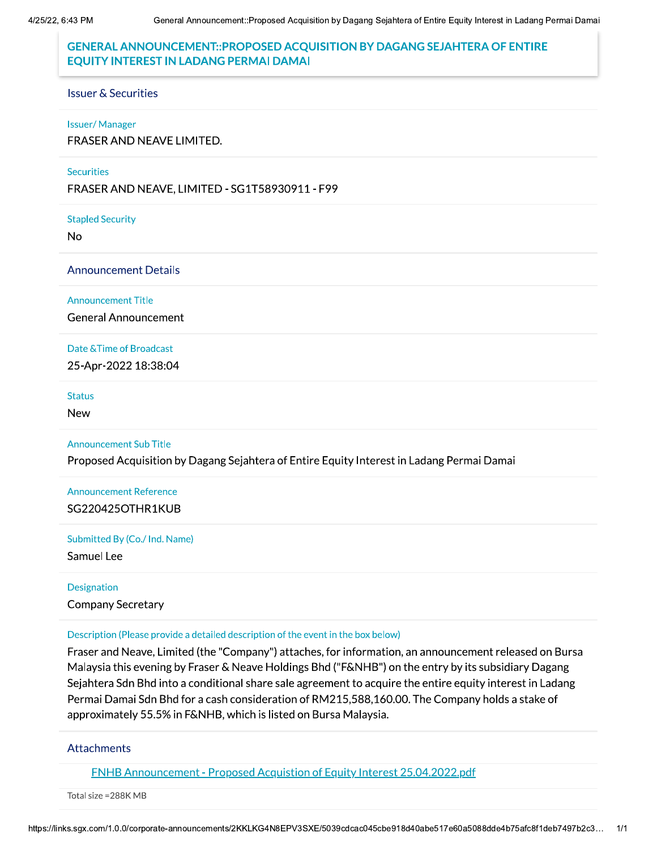# roposed Acquisition by Dagang Sejahtera of Entire Equity Interest in Ladang Permai Damai<br>OSED ACQUISITION BY DAGANG SEJAHTERA OF ENTIRE<br>MAI DAMAI GENERAL ANNOUNCEMENT:: PROPOSED ACQUISITION BY DAGANG SEJAHTERA OF ENTIRE EQUITY INTEREST IN LADANG PERMAI DAMAI

#### Issuer & Securities

#### Issuer/Manager

FRASER AND NEAVE LIMITED.

#### **Securities**

FRASER AND NEAVE, LIMITED - SG1T58930911 - F99

Stapled Security

# No<br>Announcement Details

Announcement Title

General Announcement

#### Date & Time of Broadcast

25-Apr-2022 18:38:04

#### Status

New

#### Announcement Sub Title

Proposed Acquisition by Dagang Sejahtera of Entire Equity Interest in Ladang Permai Damai

# Announcement Reference SG220425OTHR1KUB

Submitted By (Co./ Ind. Name)

Samuel Lee

#### Designation

Company Secretary

#### Description (Please provide a detailed description of the event in the box below)

Fraser and Neave, Limited (the "Company") attaches, for information, an announcement released on Bursa Malaysia this evening by Fraser & Neave Holdings Bhd ("F&NHB") on the entry by its subsidiary Dagang Sejahtera Sdn Bhd into a conditional share sale agreement to acquire the entire equity interest in Ladang Permai Damai Sdn Bhd for a cash consideration of RM215,588,160.00. The Company holds a stake of approximately 55.5% in F&NHB, which is listed on Bursa Malaysia.

#### **Attachments**

icement - Proposed Acquistion of Eder<br>-<br>-<br>-<br>announcements/2KKLKG4N8EPV3SXE/50 ENHB Announcement - Proposed Acquistion of Equity Interest 25.04.2022.pdf

Total size = 288K MB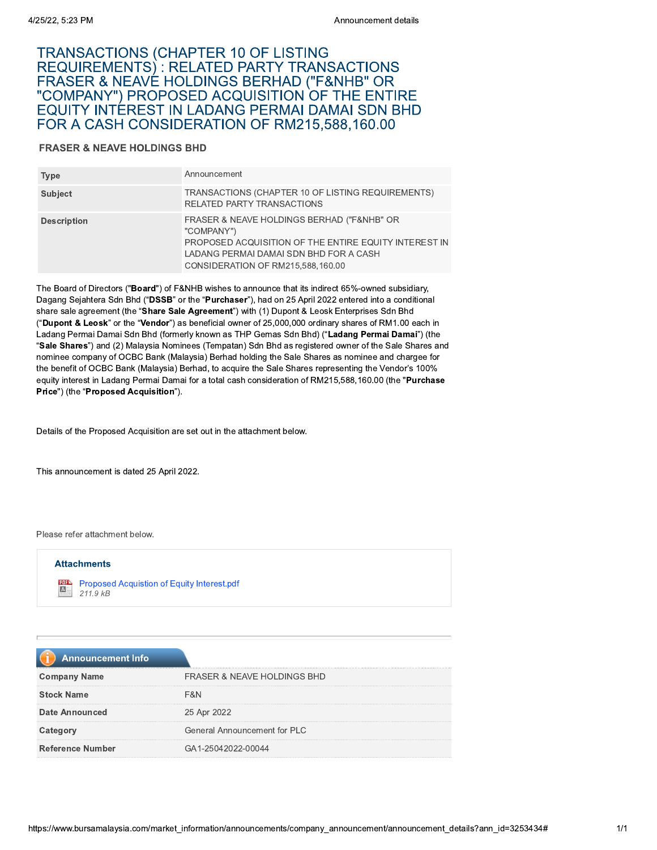# Ann<br>
25/22, 5:23 PM<br>
TRANSACTIONS (CHAPTER 10 OF LISTING<br>
REQUIREMENTS) : RELATED PARTY TRANSA(<br>
FRASER & NEAVE HOLDINGS BERHAD ("F&NI"<br>
"COMPANY") PROPOSED ACQUISITION OF THEQUITY INTEREST IN LADANG PERMAI DAMA<br>
FOR A CAS 4/25/22, 5:23 PM<br>
TRANSACTIONS (CHAPTER 1<br>
REQUIREMENTS) : RELATED<br>
FRASER & NEAVE HOLDINGS<br>
"COMPANY") PROPOSED ACC<br>
EQUITY INTEREST IN LADAN<br>
FOR A CASH CONSIDERATIO<br>
FRASER & NEAVE HOLDINGS BHD<br>
Type Announceme<br>
Subject Announcement de<br>
TRANSACTIONS (CHAPTER 10 OF LISTING<br>
REQUIREMENTS) : RELATED PARTY TRANSACTIONS<br>
FRASER & NEAVE HOLDINGS BERHAD ("F&NHB" OR<br>
"COMPANY") PROPOSED ACQUISITION OF THE ENTIF<br>
EQUITY INTEREST IN LADANG PERMAI D Announcement of<br>
TRANSACTIONS (CHAPTER 10 OF LISTING<br>
REQUIREMENTS) : RELATED PARTY TRANSACTIONS<br>
FRASER & NEAVE HOLDINGS BERHAD ("F&NHB" OR<br>
"COMPANY") PROPOSED ACQUISITION OF THE ENTI<br>
EQUITY INTEREST IN LADANG PERMAI DA 122, 5:23 PM<br>
Announcement details<br>
RANSACTIONS (CHAPTER 10 OF LISTING<br>
EQUIREMENTS) : RELATED PARTY TRANSACTIONS<br>
RASER & NEAVE HOLDINGS BERHAD ("F&NHB" OR<br>
COMPANY") PROPOSED ACQUISITION OF THE ENTIRE<br>
OR A CASH CONSIDER AI DAMAI SDN BHD<br>1915 599 169 99 FOR A CASH CONSIDERATION OF RM215,588,160.00

#### FRASER & NEAVE HOLDINGS BHD

| 4/25/22, 5:23 PM                       | Announcement details                                                                                                                                                                                                                                                                     |
|----------------------------------------|------------------------------------------------------------------------------------------------------------------------------------------------------------------------------------------------------------------------------------------------------------------------------------------|
| <b>FRASER &amp; NEAVE HOLDINGS BHD</b> | TRANSACTIONS (CHAPTER 10 OF LISTING<br>REQUIREMENTS): RELATED PARTY TRANSACTIONS<br>FRASER & NEAVE HOLDINGS BERHAD ("F&NHB" OR<br>"COMPANY") PROPOSED ACQUISITION OF THE ENTIRE<br><b>EQUITY INTEREST IN LADANG PERMAI DAMAI SDN BHD</b><br>FOR A CASH CONSIDERATION OF RM215,588,160.00 |
| <b>Type</b>                            | Announcement                                                                                                                                                                                                                                                                             |
| <b>Subject</b>                         | TRANSACTIONS (CHAPTER 10 OF LISTING REQUIREMENTS)<br>RELATED PARTY TRANSACTIONS                                                                                                                                                                                                          |
| <b>Description</b>                     | FRASER & NEAVE HOLDINGS BERHAD ("F&NHB" OR<br>"COMPANY")<br>PROPOSED ACQUISITION OF THE ENTIRE EQUITY INTEREST IN<br>LADANG PERMAI DAMAI SDN BHD FOR A CASH<br>CONSIDERATION OF RM215,588,160.00                                                                                         |
|                                        | The Board of Directors ("Board") of F&NHB wishes to announce that its indirect 65%-owned subsidiary,<br>Dagang Sejahtera Sdn Bhd ("DSSB" or the "Purchaser"), had on 25 April 2022 entered into a conditional                                                                            |

The Board of Directors ("Board") of F&NHB wishes to announce that its indirect 65%-owned subsidiary, Dagang Sejahtera Sdn Bhd ("DSSB" or the "Purchaser"), had on 25 April 2022 entered into a conditional<br>share sale agreement (the "Share Sale Agreement") with (1) Dupont & Leosk Enterprises Sdn Bhd "COMPANY")<br>
PROPOSED ACQUISITION OF THE ENTIRE EQUITY INTER<br>
LADANG PERMAI DAMAI SDN BHD FOR A CASH<br>
CONSIDERATION OF RM215,588,160.00<br>
The Board of Directors ("**Board**") of F&NHB wishes to announce that its indirect 65%-o ("Dupont & Leosk" or the "vendor") as beneficial owner of 25,000,000 ordinary shares of RM1.00 each in Ladang Permai Damai Sdn Bhd (formerly known as THP Gemas Sdn Bhd) ("Ladang Permai Damai") (the "Sale Shares") and (2) Malaysia Nominees (Tempatan) Sdn Bhd as registered owner of the Sale Shares and nominee company of OCBC Bank (Malaysia) Bernad nolding the Sale Shares as nominee and chargee for the benefit of OCBC Bank (Malaysia) Bernad, to acquire the Sale Shares representing the Vendor's 100%  $\,$ equity interest in Ladang Permai Damai for a total cash consideration of RM215,588,160.00 (the "**Purchase**" Price") (the "Proposed Acquisition").

Details of the Proposed Acquisition are set out in the attachment below.

This announcement is dated 25 April 2022.

Please refer attachment below.



| 211.5 <sub>N</sub>       |                                        |
|--------------------------|----------------------------------------|
|                          |                                        |
|                          |                                        |
| <b>Announcement Info</b> |                                        |
| <b>Company Name</b>      | <b>FRASER &amp; NEAVE HOLDINGS BHD</b> |
| <b>Stock Name</b>        | F&N                                    |
| <b>Date Announced</b>    | 25 Apr 2022                            |
| Category                 | General Announcement for PLC           |
| <b>Reference Number</b>  | GA1-25042022-00044                     |
|                          |                                        |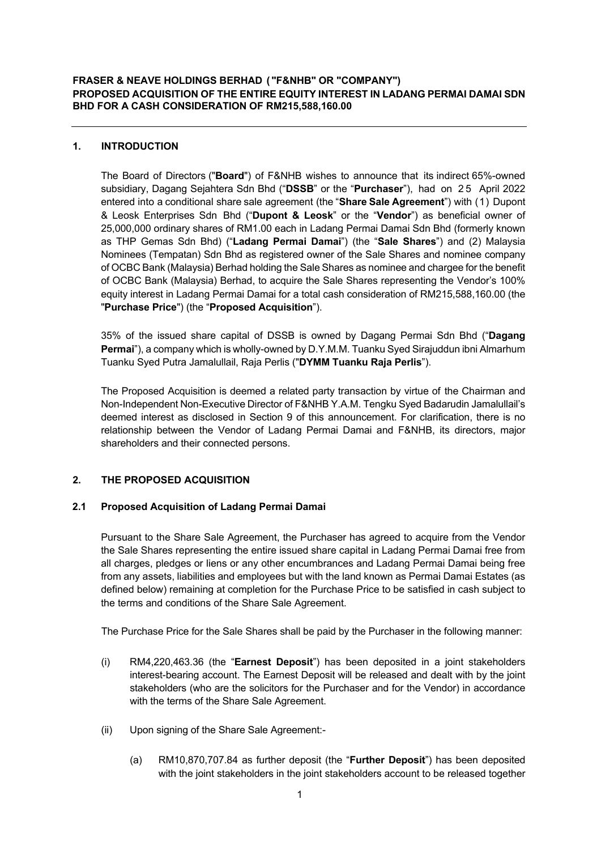### **1. INTRODUCTION**

The Board of Directors ("**Board**") of F&NHB wishes to announce that its indirect 65%-owned subsidiary, Dagang Sejahtera Sdn Bhd ("**DSSB**" or the "**Purchaser**"), had on 2 5 April 2022 entered into a conditional share sale agreement (the "**Share Sale Agreement**") with (1) Dupont & Leosk Enterprises Sdn Bhd ("**Dupont & Leosk**" or the "**Vendor**") as beneficial owner of 25,000,000 ordinary shares of RM1.00 each in Ladang Permai Damai Sdn Bhd (formerly known as THP Gemas Sdn Bhd) ("**Ladang Permai Damai**") (the "**Sale Shares**") and (2) Malaysia Nominees (Tempatan) Sdn Bhd as registered owner of the Sale Shares and nominee company of OCBC Bank (Malaysia) Berhad holding the Sale Shares as nominee and chargee for the benefit of OCBC Bank (Malaysia) Berhad, to acquire the Sale Shares representing the Vendor's 100% equity interest in Ladang Permai Damai for a total cash consideration of RM215,588,160.00 (the "**Purchase Price**") (the "**Proposed Acquisition**").

35% of the issued share capital of DSSB is owned by Dagang Permai Sdn Bhd ("**Dagang Permai**"), a company which is wholly-owned by D.Y.M.M. Tuanku Syed Sirajuddun ibni Almarhum Tuanku Syed Putra Jamalullail, Raja Perlis ("**DYMM Tuanku Raja Perlis**").

The Proposed Acquisition is deemed a related party transaction by virtue of the Chairman and Non-Independent Non-Executive Director of F&NHB Y.A.M. Tengku Syed Badarudin Jamalullail's deemed interest as disclosed in Section 9 of this announcement. For clarification, there is no relationship between the Vendor of Ladang Permai Damai and F&NHB, its directors, major shareholders and their connected persons.

# **2. THE PROPOSED ACQUISITION**

#### **2.1 Proposed Acquisition of Ladang Permai Damai**

Pursuant to the Share Sale Agreement, the Purchaser has agreed to acquire from the Vendor the Sale Shares representing the entire issued share capital in Ladang Permai Damai free from all charges, pledges or liens or any other encumbrances and Ladang Permai Damai being free from any assets, liabilities and employees but with the land known as Permai Damai Estates (as defined below) remaining at completion for the Purchase Price to be satisfied in cash subject to the terms and conditions of the Share Sale Agreement.

The Purchase Price for the Sale Shares shall be paid by the Purchaser in the following manner:

- (i) RM4,220,463.36 (the "**Earnest Deposit**") has been deposited in a joint stakeholders interest-bearing account. The Earnest Deposit will be released and dealt with by the joint stakeholders (who are the solicitors for the Purchaser and for the Vendor) in accordance with the terms of the Share Sale Agreement.
- (ii) Upon signing of the Share Sale Agreement:-
	- (a) RM10,870,707.84 as further deposit (the "**Further Deposit**") has been deposited with the joint stakeholders in the joint stakeholders account to be released together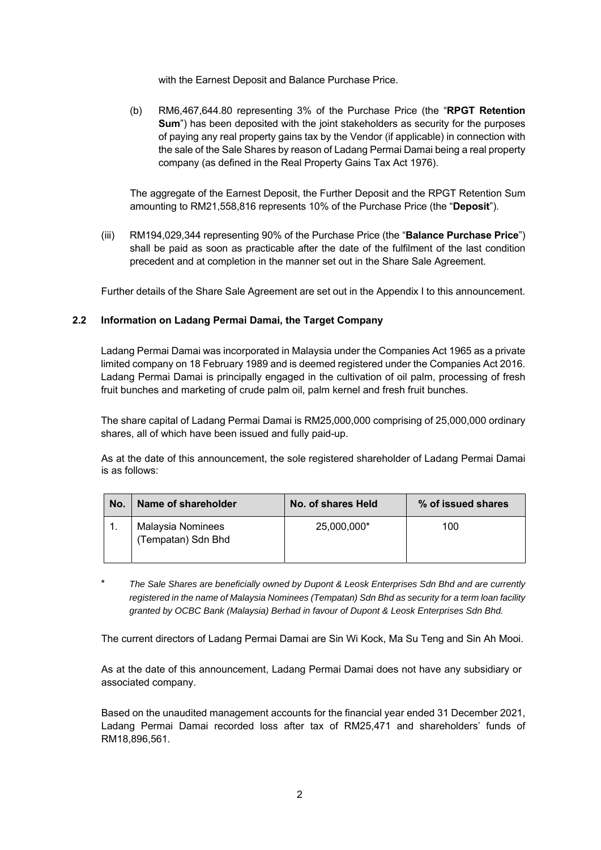with the Earnest Deposit and Balance Purchase Price.

(b) RM6,467,644.80 representing 3% of the Purchase Price (the "**RPGT Retention Sum**") has been deposited with the joint stakeholders as security for the purposes of paying any real property gains tax by the Vendor (if applicable) in connection with the sale of the Sale Shares by reason of Ladang Permai Damai being a real property company (as defined in the Real Property Gains Tax Act 1976).

The aggregate of the Earnest Deposit, the Further Deposit and the RPGT Retention Sum amounting to RM21,558,816 represents 10% of the Purchase Price (the "**Deposit**").

(iii) RM194,029,344 representing 90% of the Purchase Price (the "**Balance Purchase Price**") shall be paid as soon as practicable after the date of the fulfilment of the last condition precedent and at completion in the manner set out in the Share Sale Agreement.

Further details of the Share Sale Agreement are set out in the Appendix I to this announcement.

#### **2.2 Information on Ladang Permai Damai, the Target Company**

Ladang Permai Damai was incorporated in Malaysia under the Companies Act 1965 as a private limited company on 18 February 1989 and is deemed registered under the Companies Act 2016. Ladang Permai Damai is principally engaged in the cultivation of oil palm, processing of fresh fruit bunches and marketing of crude palm oil, palm kernel and fresh fruit bunches.

The share capital of Ladang Permai Damai is RM25,000,000 comprising of 25,000,000 ordinary shares, all of which have been issued and fully paid-up.

As at the date of this announcement, the sole registered shareholder of Ladang Permai Damai is as follows:

| No. | Name of shareholder                     | No. of shares Held | % of issued shares |
|-----|-----------------------------------------|--------------------|--------------------|
| . . | Malaysia Nominees<br>(Tempatan) Sdn Bhd | 25,000,000*        | 100                |

\* *The Sale Shares are beneficially owned by Dupont & Leosk Enterprises Sdn Bhd and are currently registered in the name of Malaysia Nominees (Tempatan) Sdn Bhd as security for a term loan facility granted by OCBC Bank (Malaysia) Berhad in favour of Dupont & Leosk Enterprises Sdn Bhd.*

The current directors of Ladang Permai Damai are Sin Wi Kock, Ma Su Teng and Sin Ah Mooi.

As at the date of this announcement, Ladang Permai Damai does not have any subsidiary or associated company.

Based on the unaudited management accounts for the financial year ended 31 December 2021, Ladang Permai Damai recorded loss after tax of RM25,471 and shareholders' funds of RM18,896,561.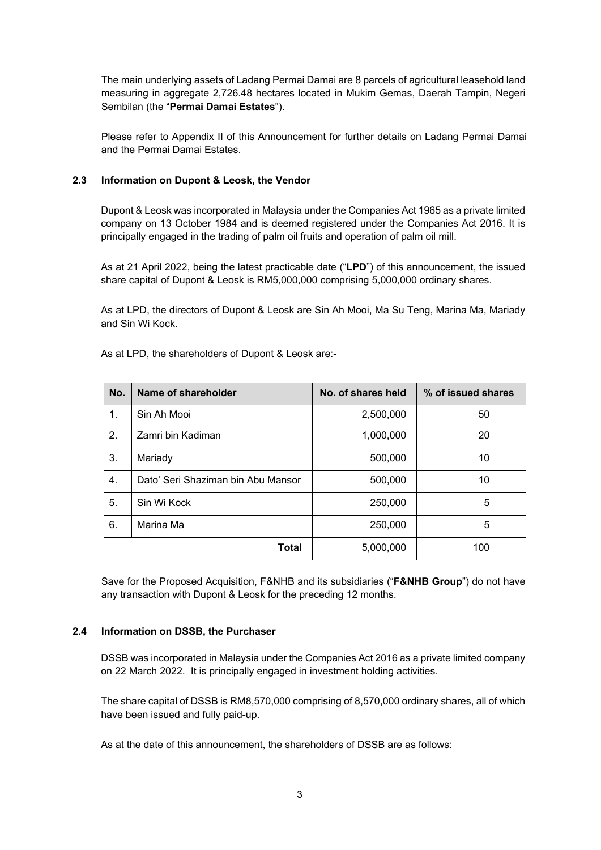The main underlying assets of Ladang Permai Damai are 8 parcels of agricultural leasehold land measuring in aggregate 2,726.48 hectares located in Mukim Gemas, Daerah Tampin, Negeri Sembilan (the "**Permai Damai Estates**").

Please refer to Appendix II of this Announcement for further details on Ladang Permai Damai and the Permai Damai Estates.

### **2.3 Information on Dupont & Leosk, the Vendor**

Dupont & Leosk was incorporated in Malaysia under the Companies Act 1965 as a private limited company on 13 October 1984 and is deemed registered under the Companies Act 2016. It is principally engaged in the trading of palm oil fruits and operation of palm oil mill.

As at 21 April 2022, being the latest practicable date ("**LPD**") of this announcement, the issued share capital of Dupont & Leosk is RM5,000,000 comprising 5,000,000 ordinary shares.

As at LPD, the directors of Dupont & Leosk are Sin Ah Mooi, Ma Su Teng, Marina Ma, Mariady and Sin Wi Kock.

| No. | Name of shareholder                | No. of shares held | % of issued shares |
|-----|------------------------------------|--------------------|--------------------|
| 1.  | Sin Ah Mooi                        | 2,500,000          | 50                 |
| 2.  | Zamri bin Kadiman                  | 1,000,000          | 20                 |
| 3.  | Mariady                            | 500,000            | 10                 |
| 4.  | Dato' Seri Shaziman bin Abu Mansor | 500,000            | 10                 |
| 5.  | Sin Wi Kock                        | 250,000            | 5                  |
| 6.  | Marina Ma                          | 250,000            | 5                  |
|     | <b>Total</b>                       | 5,000,000          | 100                |

As at LPD, the shareholders of Dupont & Leosk are:-

Save for the Proposed Acquisition, F&NHB and its subsidiaries ("**F&NHB Group**") do not have any transaction with Dupont & Leosk for the preceding 12 months.

#### **2.4 Information on DSSB, the Purchaser**

DSSB was incorporated in Malaysia under the Companies Act 2016 as a private limited company on 22 March 2022. It is principally engaged in investment holding activities.

The share capital of DSSB is RM8,570,000 comprising of 8,570,000 ordinary shares, all of which have been issued and fully paid-up.

As at the date of this announcement, the shareholders of DSSB are as follows: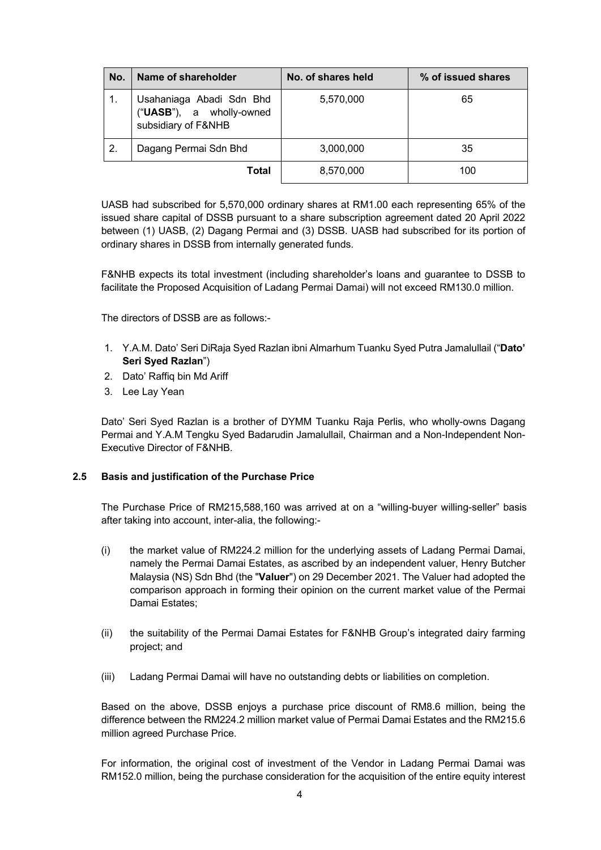| No. | Name of shareholder                                                         | No. of shares held | % of issued shares |
|-----|-----------------------------------------------------------------------------|--------------------|--------------------|
|     | Usahaniaga Abadi Sdn Bhd<br>("UASB"), a wholly-owned<br>subsidiary of F&NHB | 5,570,000          | 65                 |
| -2. | Dagang Permai Sdn Bhd                                                       | 3,000,000          | 35                 |
|     | Total                                                                       | 8,570,000          | 100                |

UASB had subscribed for 5,570,000 ordinary shares at RM1.00 each representing 65% of the issued share capital of DSSB pursuant to a share subscription agreement dated 20 April 2022 between (1) UASB, (2) Dagang Permai and (3) DSSB. UASB had subscribed for its portion of ordinary shares in DSSB from internally generated funds.

F&NHB expects its total investment (including shareholder's loans and guarantee to DSSB to facilitate the Proposed Acquisition of Ladang Permai Damai) will not exceed RM130.0 million.

The directors of DSSB are as follows:-

- 1. Y.A.M. Dato' Seri DiRaja Syed Razlan ibni Almarhum Tuanku Syed Putra Jamalullail ("**Dato' Seri Syed Razlan**")
- 2. Dato' Raffiq bin Md Ariff
- 3. Lee Lay Yean

Dato' Seri Syed Razlan is a brother of DYMM Tuanku Raja Perlis, who wholly-owns Dagang Permai and Y.A.M Tengku Syed Badarudin Jamalullail, Chairman and a Non-Independent Non-Executive Director of F&NHB.

#### **2.5 Basis and justification of the Purchase Price**

The Purchase Price of RM215,588,160 was arrived at on a "willing-buyer willing-seller" basis after taking into account, inter-alia, the following:-

- (i) the market value of RM224.2 million for the underlying assets of Ladang Permai Damai, namely the Permai Damai Estates, as ascribed by an independent valuer, Henry Butcher Malaysia (NS) Sdn Bhd (the "**Valuer**") on 29 December 2021. The Valuer had adopted the comparison approach in forming their opinion on the current market value of the Permai Damai Estates;
- (ii) the suitability of the Permai Damai Estates for F&NHB Group's integrated dairy farming project; and
- (iii) Ladang Permai Damai will have no outstanding debts or liabilities on completion.

Based on the above, DSSB enjoys a purchase price discount of RM8.6 million, being the difference between the RM224.2 million market value of Permai Damai Estates and the RM215.6 million agreed Purchase Price.

For information, the original cost of investment of the Vendor in Ladang Permai Damai was RM152.0 million, being the purchase consideration for the acquisition of the entire equity interest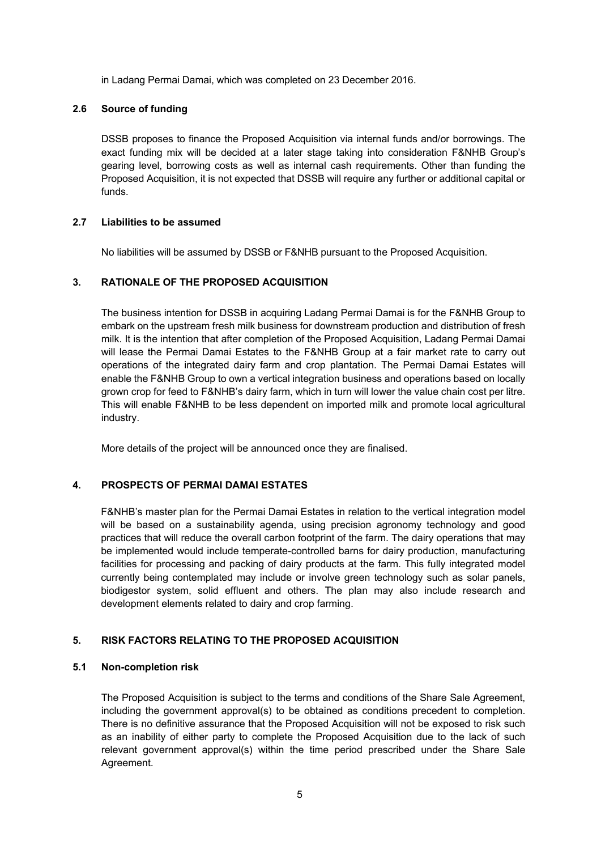in Ladang Permai Damai, which was completed on 23 December 2016.

#### **2.6 Source of funding**

DSSB proposes to finance the Proposed Acquisition via internal funds and/or borrowings. The exact funding mix will be decided at a later stage taking into consideration F&NHB Group's gearing level, borrowing costs as well as internal cash requirements. Other than funding the Proposed Acquisition, it is not expected that DSSB will require any further or additional capital or funds.

#### **2.7 Liabilities to be assumed**

No liabilities will be assumed by DSSB or F&NHB pursuant to the Proposed Acquisition.

# **3. RATIONALE OF THE PROPOSED ACQUISITION**

The business intention for DSSB in acquiring Ladang Permai Damai is for the F&NHB Group to embark on the upstream fresh milk business for downstream production and distribution of fresh milk. It is the intention that after completion of the Proposed Acquisition, Ladang Permai Damai will lease the Permai Damai Estates to the F&NHB Group at a fair market rate to carry out operations of the integrated dairy farm and crop plantation. The Permai Damai Estates will enable the F&NHB Group to own a vertical integration business and operations based on locally grown crop for feed to F&NHB's dairy farm, which in turn will lower the value chain cost per litre. This will enable F&NHB to be less dependent on imported milk and promote local agricultural industry.

More details of the project will be announced once they are finalised.

#### **4. PROSPECTS OF PERMAI DAMAI ESTATES**

F&NHB's master plan for the Permai Damai Estates in relation to the vertical integration model will be based on a sustainability agenda, using precision agronomy technology and good practices that will reduce the overall carbon footprint of the farm. The dairy operations that may be implemented would include temperate-controlled barns for dairy production, manufacturing facilities for processing and packing of dairy products at the farm. This fully integrated model currently being contemplated may include or involve green technology such as solar panels, biodigestor system, solid effluent and others. The plan may also include research and development elements related to dairy and crop farming.

#### **5. RISK FACTORS RELATING TO THE PROPOSED ACQUISITION**

#### **5.1 Non-completion risk**

The Proposed Acquisition is subject to the terms and conditions of the Share Sale Agreement, including the government approval(s) to be obtained as conditions precedent to completion. There is no definitive assurance that the Proposed Acquisition will not be exposed to risk such as an inability of either party to complete the Proposed Acquisition due to the lack of such relevant government approval(s) within the time period prescribed under the Share Sale Agreement.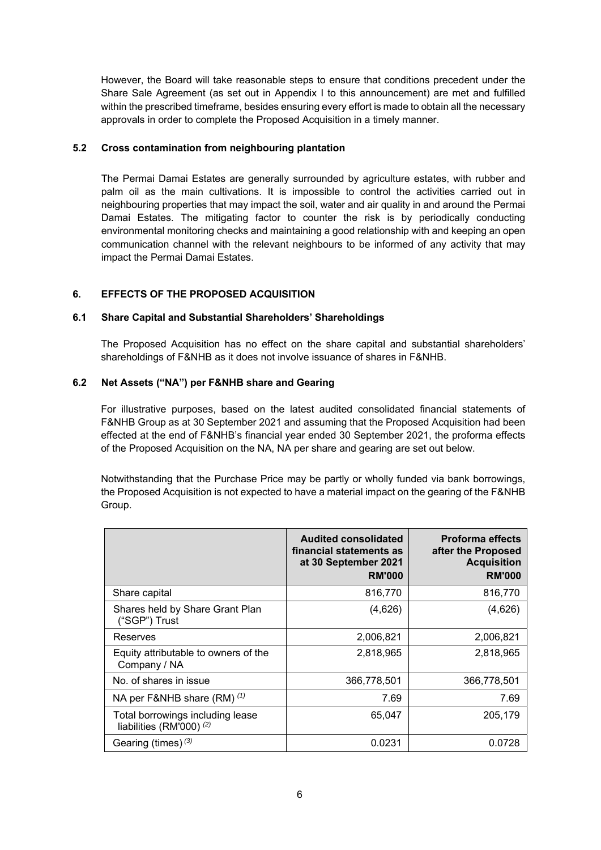However, the Board will take reasonable steps to ensure that conditions precedent under the Share Sale Agreement (as set out in Appendix I to this announcement) are met and fulfilled within the prescribed timeframe, besides ensuring every effort is made to obtain all the necessary approvals in order to complete the Proposed Acquisition in a timely manner.

### **5.2 Cross contamination from neighbouring plantation**

The Permai Damai Estates are generally surrounded by agriculture estates, with rubber and palm oil as the main cultivations. It is impossible to control the activities carried out in neighbouring properties that may impact the soil, water and air quality in and around the Permai Damai Estates. The mitigating factor to counter the risk is by periodically conducting environmental monitoring checks and maintaining a good relationship with and keeping an open communication channel with the relevant neighbours to be informed of any activity that may impact the Permai Damai Estates.

# **6. EFFECTS OF THE PROPOSED ACQUISITION**

#### **6.1 Share Capital and Substantial Shareholders' Shareholdings**

The Proposed Acquisition has no effect on the share capital and substantial shareholders' shareholdings of F&NHB as it does not involve issuance of shares in F&NHB.

# **6.2 Net Assets ("NA") per F&NHB share and Gearing**

For illustrative purposes, based on the latest audited consolidated financial statements of F&NHB Group as at 30 September 2021 and assuming that the Proposed Acquisition had been effected at the end of F&NHB's financial year ended 30 September 2021, the proforma effects of the Proposed Acquisition on the NA, NA per share and gearing are set out below.

Notwithstanding that the Purchase Price may be partly or wholly funded via bank borrowings, the Proposed Acquisition is not expected to have a material impact on the gearing of the F&NHB Group.

|                                                              | <b>Audited consolidated</b><br>financial statements as<br>at 30 September 2021<br><b>RM'000</b> | <b>Proforma effects</b><br>after the Proposed<br><b>Acquisition</b><br><b>RM'000</b> |
|--------------------------------------------------------------|-------------------------------------------------------------------------------------------------|--------------------------------------------------------------------------------------|
| Share capital                                                | 816,770                                                                                         | 816,770                                                                              |
| Shares held by Share Grant Plan<br>("SGP") Trust             | (4,626)                                                                                         | (4,626)                                                                              |
| Reserves                                                     | 2,006,821                                                                                       | 2,006,821                                                                            |
| Equity attributable to owners of the<br>Company / NA         | 2,818,965                                                                                       | 2,818,965                                                                            |
| No. of shares in issue                                       | 366,778,501                                                                                     | 366,778,501                                                                          |
| NA per F&NHB share $(RM)$ $(1)$                              | 7.69                                                                                            | 7.69                                                                                 |
| Total borrowings including lease<br>liabilities (RM'000) (2) | 65,047                                                                                          | 205,179                                                                              |
| Gearing (times) $(3)$                                        | 0.0231                                                                                          | 0.0728                                                                               |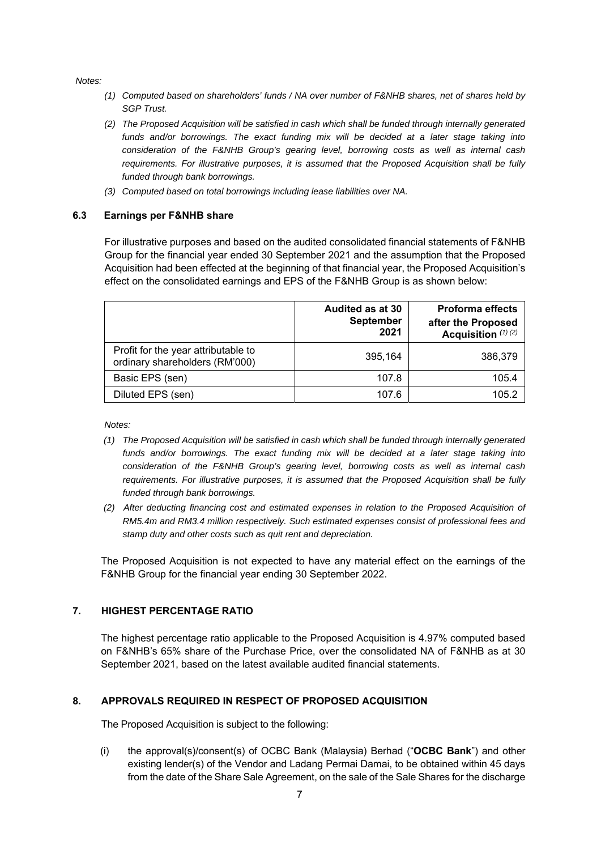*Notes:* 

- *(1) Computed based on shareholders' funds / NA over number of F&NHB shares, net of shares held by SGP Trust.*
- *(2) The Proposed Acquisition will be satisfied in cash which shall be funded through internally generated*  funds and/or borrowings. The exact funding mix will be decided at a later stage taking into *consideration of the F&NHB Group's gearing level, borrowing costs as well as internal cash requirements. For illustrative purposes, it is assumed that the Proposed Acquisition shall be fully funded through bank borrowings.*
- *(3) Computed based on total borrowings including lease liabilities over NA.*

#### **6.3 Earnings per F&NHB share**

For illustrative purposes and based on the audited consolidated financial statements of F&NHB Group for the financial year ended 30 September 2021 and the assumption that the Proposed Acquisition had been effected at the beginning of that financial year, the Proposed Acquisition's effect on the consolidated earnings and EPS of the F&NHB Group is as shown below:

|                                                                       | <b>Audited as at 30</b><br><b>September</b><br>2021 | <b>Proforma effects</b><br>after the Proposed<br>Acquisition (1) (2) |
|-----------------------------------------------------------------------|-----------------------------------------------------|----------------------------------------------------------------------|
| Profit for the year attributable to<br>ordinary shareholders (RM'000) | 395,164                                             | 386,379                                                              |
| Basic EPS (sen)                                                       | 107.8                                               | 105.4                                                                |
| Diluted EPS (sen)                                                     | 107.6                                               | 105.2                                                                |

*Notes:* 

- *(1) The Proposed Acquisition will be satisfied in cash which shall be funded through internally generated funds and/or borrowings. The exact funding mix will be decided at a later stage taking into consideration of the F&NHB Group's gearing level, borrowing costs as well as internal cash requirements. For illustrative purposes, it is assumed that the Proposed Acquisition shall be fully funded through bank borrowings.*
- *(2) After deducting financing cost and estimated expenses in relation to the Proposed Acquisition of RM5.4m and RM3.4 million respectively. Such estimated expenses consist of professional fees and stamp duty and other costs such as quit rent and depreciation.*

The Proposed Acquisition is not expected to have any material effect on the earnings of the F&NHB Group for the financial year ending 30 September 2022.

#### **7. HIGHEST PERCENTAGE RATIO**

The highest percentage ratio applicable to the Proposed Acquisition is 4.97% computed based on F&NHB's 65% share of the Purchase Price, over the consolidated NA of F&NHB as at 30 September 2021, based on the latest available audited financial statements.

#### **8. APPROVALS REQUIRED IN RESPECT OF PROPOSED ACQUISITION**

The Proposed Acquisition is subject to the following:

(i) the approval(s)/consent(s) of OCBC Bank (Malaysia) Berhad ("**OCBC Bank**") and other existing lender(s) of the Vendor and Ladang Permai Damai, to be obtained within 45 days from the date of the Share Sale Agreement, on the sale of the Sale Shares for the discharge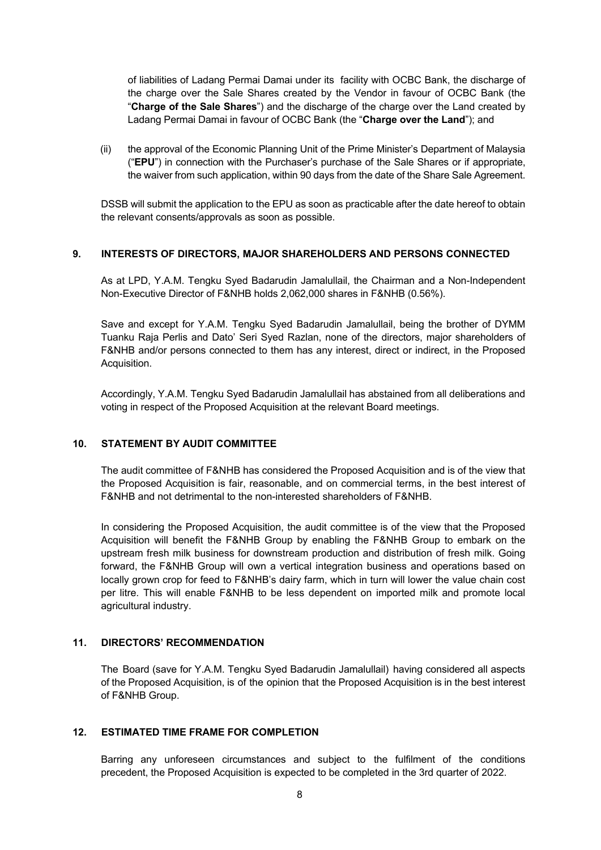of liabilities of Ladang Permai Damai under its facility with OCBC Bank, the discharge of the charge over the Sale Shares created by the Vendor in favour of OCBC Bank (the "**Charge of the Sale Shares**") and the discharge of the charge over the Land created by Ladang Permai Damai in favour of OCBC Bank (the "**Charge over the Land**"); and

(ii) the approval of the Economic Planning Unit of the Prime Minister's Department of Malaysia ("**EPU**") in connection with the Purchaser's purchase of the Sale Shares or if appropriate, the waiver from such application, within 90 days from the date of the Share Sale Agreement.

DSSB will submit the application to the EPU as soon as practicable after the date hereof to obtain the relevant consents/approvals as soon as possible.

#### **9. INTERESTS OF DIRECTORS, MAJOR SHAREHOLDERS AND PERSONS CONNECTED**

As at LPD, Y.A.M. Tengku Syed Badarudin Jamalullail, the Chairman and a Non-Independent Non-Executive Director of F&NHB holds 2,062,000 shares in F&NHB (0.56%).

Save and except for Y.A.M. Tengku Syed Badarudin Jamalullail, being the brother of DYMM Tuanku Raja Perlis and Dato' Seri Syed Razlan, none of the directors, major shareholders of F&NHB and/or persons connected to them has any interest, direct or indirect, in the Proposed Acquisition.

Accordingly, Y.A.M. Tengku Syed Badarudin Jamalullail has abstained from all deliberations and voting in respect of the Proposed Acquisition at the relevant Board meetings.

#### **10. STATEMENT BY AUDIT COMMITTEE**

The audit committee of F&NHB has considered the Proposed Acquisition and is of the view that the Proposed Acquisition is fair, reasonable, and on commercial terms, in the best interest of F&NHB and not detrimental to the non-interested shareholders of F&NHB.

In considering the Proposed Acquisition, the audit committee is of the view that the Proposed Acquisition will benefit the F&NHB Group by enabling the F&NHB Group to embark on the upstream fresh milk business for downstream production and distribution of fresh milk. Going forward, the F&NHB Group will own a vertical integration business and operations based on locally grown crop for feed to F&NHB's dairy farm, which in turn will lower the value chain cost per litre. This will enable F&NHB to be less dependent on imported milk and promote local agricultural industry.

#### **11. DIRECTORS' RECOMMENDATION**

The Board (save for Y.A.M. Tengku Syed Badarudin Jamalullail) having considered all aspects of the Proposed Acquisition, is of the opinion that the Proposed Acquisition is in the best interest of F&NHB Group.

#### **12. ESTIMATED TIME FRAME FOR COMPLETION**

Barring any unforeseen circumstances and subject to the fulfilment of the conditions precedent, the Proposed Acquisition is expected to be completed in the 3rd quarter of 2022.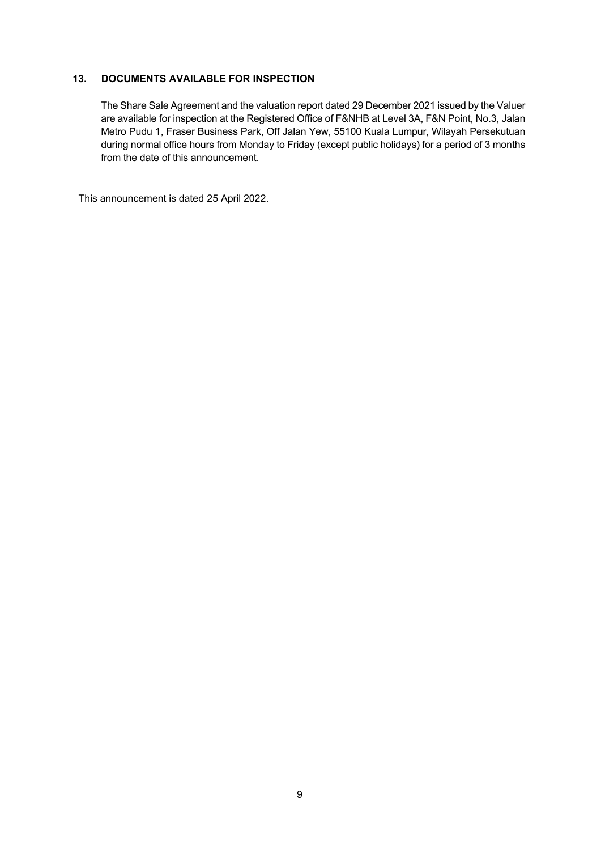# **13. DOCUMENTS AVAILABLE FOR INSPECTION**

The Share Sale Agreement and the valuation report dated 29 December 2021 issued by the Valuer are available for inspection at the Registered Office of F&NHB at Level 3A, F&N Point, No.3, Jalan Metro Pudu 1, Fraser Business Park, Off Jalan Yew, 55100 Kuala Lumpur, Wilayah Persekutuan during normal office hours from Monday to Friday (except public holidays) for a period of 3 months from the date of this announcement.

This announcement is dated 25 April 2022.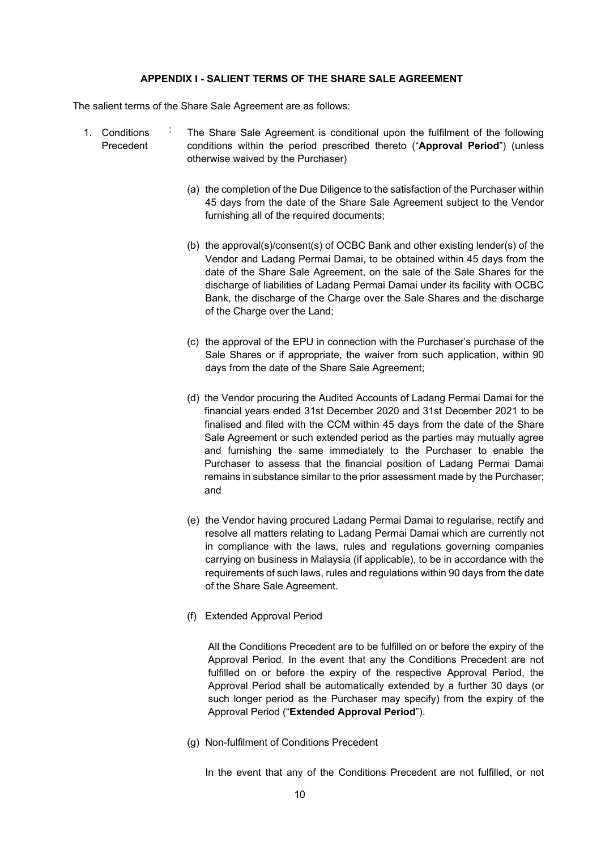#### **APPENDIX I - SALIENT TERMS OF THE SHARE SALE AGREEMENT**

The salient terms of the Share Sale Agreement are as follows:

- 1. Conditions Precedent : The Share Sale Agreement is conditional upon the fulfilment of the following conditions within the period prescribed thereto ("**Approval Period**") (unless otherwise waived by the Purchaser)
	- (a) the completion of the Due Diligence to the satisfaction of the Purchaser within 45 days from the date of the Share Sale Agreement subject to the Vendor furnishing all of the required documents;
	- (b) the approval(s)/consent(s) of OCBC Bank and other existing lender(s) of the Vendor and Ladang Permai Damai, to be obtained within 45 days from the date of the Share Sale Agreement, on the sale of the Sale Shares for the discharge of liabilities of Ladang Permai Damai under its facility with OCBC Bank, the discharge of the Charge over the Sale Shares and the discharge of the Charge over the Land;
	- (c) the approval of the EPU in connection with the Purchaser's purchase of the Sale Shares or if appropriate, the waiver from such application, within 90 days from the date of the Share Sale Agreement;
	- (d) the Vendor procuring the Audited Accounts of Ladang Permai Damai for the financial years ended 31st December 2020 and 31st December 2021 to be finalised and filed with the CCM within 45 days from the date of the Share Sale Agreement or such extended period as the parties may mutually agree and furnishing the same immediately to the Purchaser to enable the Purchaser to assess that the financial position of Ladang Permai Damai remains in substance similar to the prior assessment made by the Purchaser; and
	- (e) the Vendor having procured Ladang Permai Damai to regularise, rectify and resolve all matters relating to Ladang Permai Damai which are currently not in compliance with the laws, rules and regulations governing companies carrying on business in Malaysia (if applicable), to be in accordance with the requirements of such laws, rules and regulations within 90 days from the date of the Share Sale Agreement.
	- (f) Extended Approval Period

All the Conditions Precedent are to be fulfilled on or before the expiry of the Approval Period. In the event that any the Conditions Precedent are not fulfilled on or before the expiry of the respective Approval Period, the Approval Period shall be automatically extended by a further 30 days (or such longer period as the Purchaser may specify) from the expiry of the Approval Period ("**Extended Approval Period**").

(g) Non-fulfilment of Conditions Precedent

In the event that any of the Conditions Precedent are not fulfilled, or not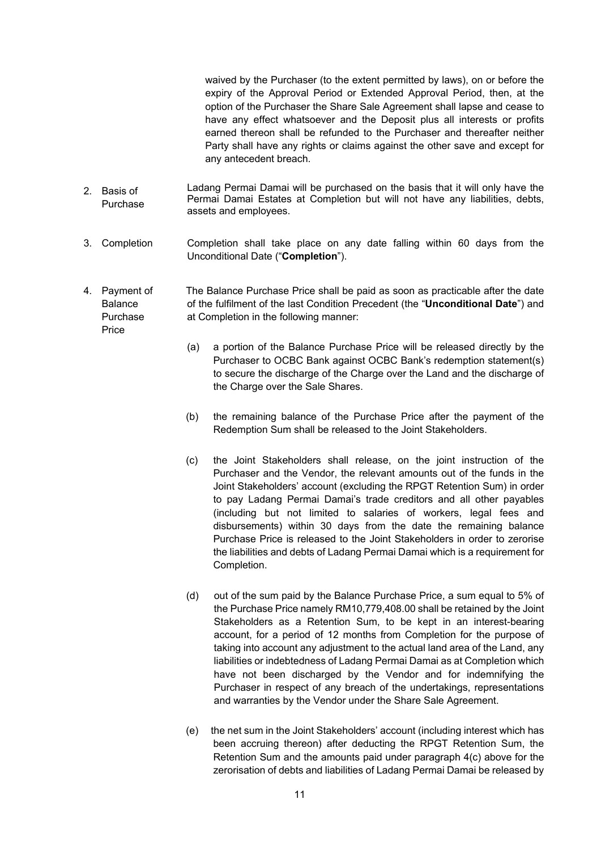waived by the Purchaser (to the extent permitted by laws), on or before the expiry of the Approval Period or Extended Approval Period, then, at the option of the Purchaser the Share Sale Agreement shall lapse and cease to have any effect whatsoever and the Deposit plus all interests or profits earned thereon shall be refunded to the Purchaser and thereafter neither Party shall have any rights or claims against the other save and except for any antecedent breach.

- 2. Basis of Purchase Ladang Permai Damai will be purchased on the basis that it will only have the Permai Damai Estates at Completion but will not have any liabilities, debts, assets and employees.
- 3. Completion Completion shall take place on any date falling within 60 days from the Unconditional Date ("**Completion**").
- 4. Payment of Balance Purchase Price The Balance Purchase Price shall be paid as soon as practicable after the date of the fulfilment of the last Condition Precedent (the "**Unconditional Date**") and at Completion in the following manner:
	- (a) a portion of the Balance Purchase Price will be released directly by the Purchaser to OCBC Bank against OCBC Bank's redemption statement(s) to secure the discharge of the Charge over the Land and the discharge of the Charge over the Sale Shares.
	- (b) the remaining balance of the Purchase Price after the payment of the Redemption Sum shall be released to the Joint Stakeholders.
	- (c) the Joint Stakeholders shall release, on the joint instruction of the Purchaser and the Vendor, the relevant amounts out of the funds in the Joint Stakeholders' account (excluding the RPGT Retention Sum) in order to pay Ladang Permai Damai's trade creditors and all other payables (including but not limited to salaries of workers, legal fees and disbursements) within 30 days from the date the remaining balance Purchase Price is released to the Joint Stakeholders in order to zerorise the liabilities and debts of Ladang Permai Damai which is a requirement for Completion.
	- (d) out of the sum paid by the Balance Purchase Price, a sum equal to 5% of the Purchase Price namely RM10,779,408.00 shall be retained by the Joint Stakeholders as a Retention Sum, to be kept in an interest-bearing account, for a period of 12 months from Completion for the purpose of taking into account any adjustment to the actual land area of the Land, any liabilities or indebtedness of Ladang Permai Damai as at Completion which have not been discharged by the Vendor and for indemnifying the Purchaser in respect of any breach of the undertakings, representations and warranties by the Vendor under the Share Sale Agreement.
	- (e) the net sum in the Joint Stakeholders' account (including interest which has been accruing thereon) after deducting the RPGT Retention Sum, the Retention Sum and the amounts paid under paragraph 4(c) above for the zerorisation of debts and liabilities of Ladang Permai Damai be released by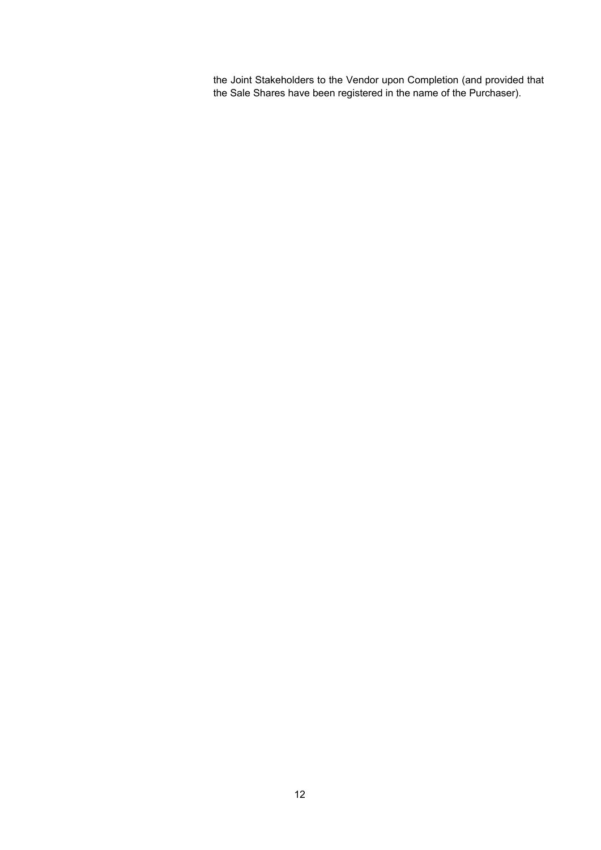the Joint Stakeholders to the Vendor upon Completion (and provided that the Sale Shares have been registered in the name of the Purchaser).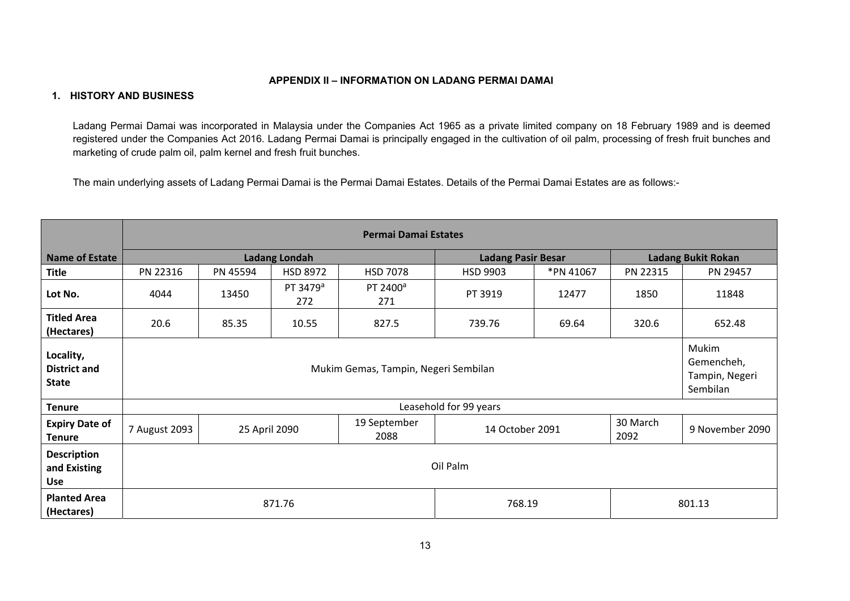#### **APPENDIX II – INFORMATION ON LADANG PERMAI DAMAI**

#### **1. HISTORY AND BUSINESS**

Ladang Permai Damai was incorporated in Malaysia under the Companies Act 1965 as a private limited company on 18 February 1989 and is deemed registered under the Companies Act 2016. Ladang Permai Damai is principally engaged in the cultivation of oil palm, processing of fresh fruit bunches and marketing of crude palm oil, palm kernel and fresh fruit bunches.

The main underlying assets of Ladang Permai Damai is the Permai Damai Estates. Details of the Permai Damai Estates are as follows:-

|                                                  | Permai Damai Estates                                                                          |          |                             |                             |                           |                 |          |                           |  |
|--------------------------------------------------|-----------------------------------------------------------------------------------------------|----------|-----------------------------|-----------------------------|---------------------------|-----------------|----------|---------------------------|--|
| <b>Name of Estate</b>                            |                                                                                               |          | <b>Ladang Londah</b>        |                             | <b>Ladang Pasir Besar</b> |                 |          | <b>Ladang Bukit Rokan</b> |  |
| <b>Title</b>                                     | PN 22316                                                                                      | PN 45594 | <b>HSD 8972</b>             | <b>HSD 7078</b>             | HSD 9903                  | *PN 41067       | PN 22315 | PN 29457                  |  |
| Lot No.                                          | 4044                                                                                          | 13450    | PT 3479 <sup>a</sup><br>272 | PT 2400 <sup>a</sup><br>271 | PT 3919                   | 12477           | 1850     | 11848                     |  |
| <b>Titled Area</b><br>(Hectares)                 | 20.6                                                                                          | 85.35    | 10.55                       | 827.5                       | 739.76                    | 69.64           | 320.6    | 652.48                    |  |
| Locality,<br><b>District and</b><br><b>State</b> | Mukim<br>Gemencheh,<br>Mukim Gemas, Tampin, Negeri Sembilan<br>Tampin, Negeri<br>Sembilan     |          |                             |                             |                           |                 |          |                           |  |
| <b>Tenure</b>                                    |                                                                                               |          |                             |                             | Leasehold for 99 years    |                 |          |                           |  |
| <b>Expiry Date of</b><br><b>Tenure</b>           | 30 March<br>19 September<br>7 August 2093<br>25 April 2090<br>14 October 2091<br>2092<br>2088 |          |                             |                             |                           | 9 November 2090 |          |                           |  |
| <b>Description</b><br>and Existing<br><b>Use</b> | Oil Palm                                                                                      |          |                             |                             |                           |                 |          |                           |  |
| <b>Planted Area</b><br>(Hectares)                | 871.76<br>768.19<br>801.13                                                                    |          |                             |                             |                           |                 |          |                           |  |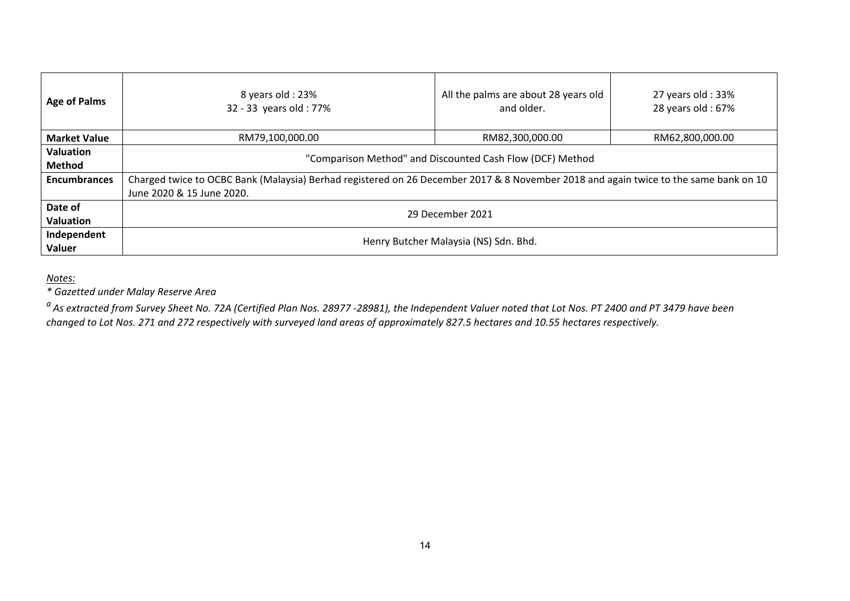| <b>Age of Palms</b>        | 8 years old : 23%<br>32 - 33 years old: 77%                                                                                                                       | All the palms are about 28 years old<br>and older. | 27 years old: 33%<br>28 years old: 67% |  |  |
|----------------------------|-------------------------------------------------------------------------------------------------------------------------------------------------------------------|----------------------------------------------------|----------------------------------------|--|--|
| <b>Market Value</b>        | RM79,100,000.00                                                                                                                                                   | RM82,300,000.00                                    | RM62,800,000.00                        |  |  |
| <b>Valuation</b><br>Method | "Comparison Method" and Discounted Cash Flow (DCF) Method                                                                                                         |                                                    |                                        |  |  |
| <b>Encumbrances</b>        | Charged twice to OCBC Bank (Malaysia) Berhad registered on 26 December 2017 & 8 November 2018 and again twice to the same bank on 10<br>June 2020 & 15 June 2020. |                                                    |                                        |  |  |
| Date of<br>Valuation       | 29 December 2021                                                                                                                                                  |                                                    |                                        |  |  |
| Independent<br>Valuer      |                                                                                                                                                                   | Henry Butcher Malaysia (NS) Sdn. Bhd.              |                                        |  |  |

# *Notes:*

*\* Gazetted under Malay Reserve Area* 

*a As extracted from Survey Sheet No. 72A (Certified Plan Nos. 28977 ‐28981), the Independent Valuer noted that Lot Nos. PT 2400 and PT 3479 have been changed to Lot Nos. 271 and 272 respectively with surveyed land areas of approximately 827.5 hectares and 10.55 hectares respectively.*